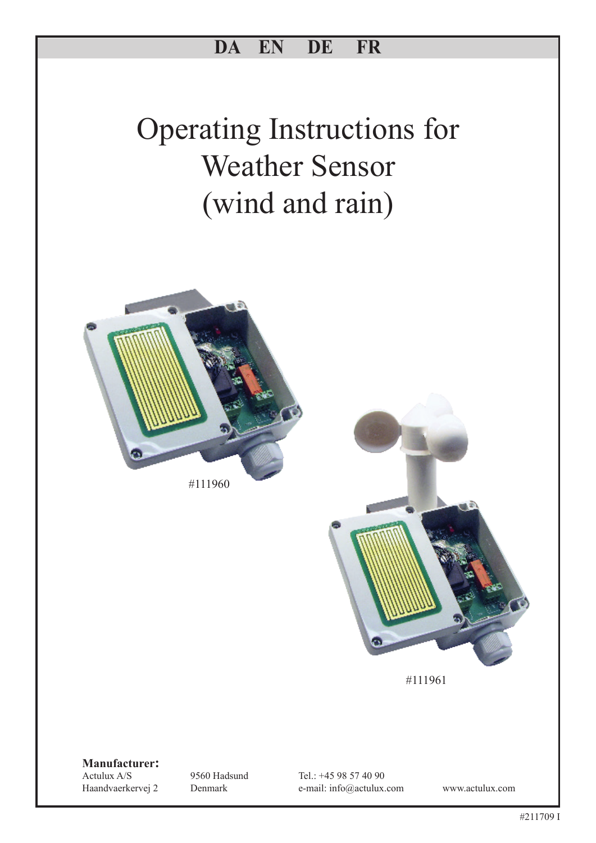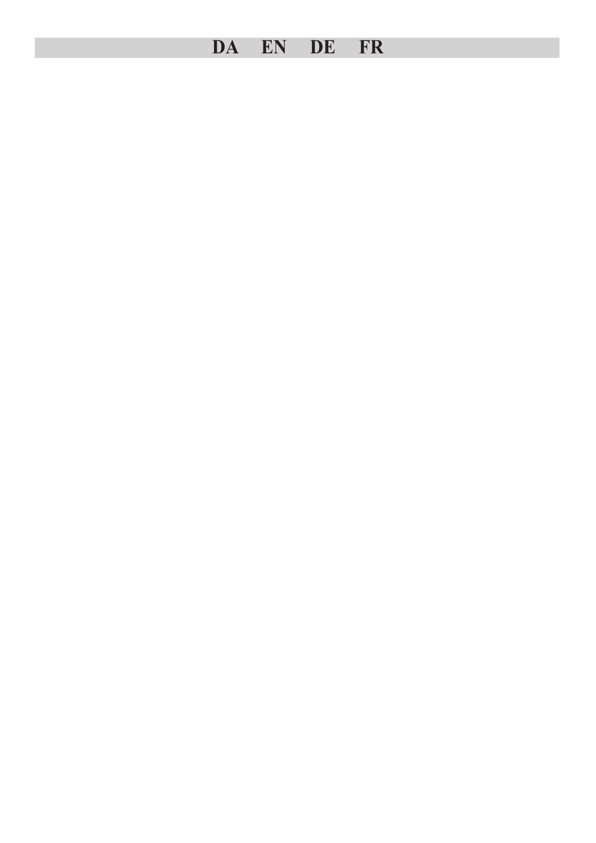# **DA EN DE FR**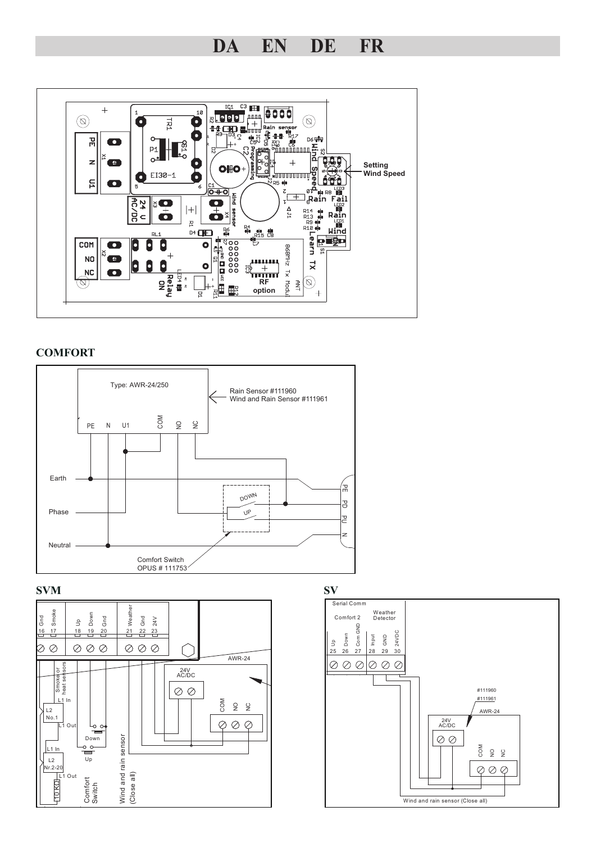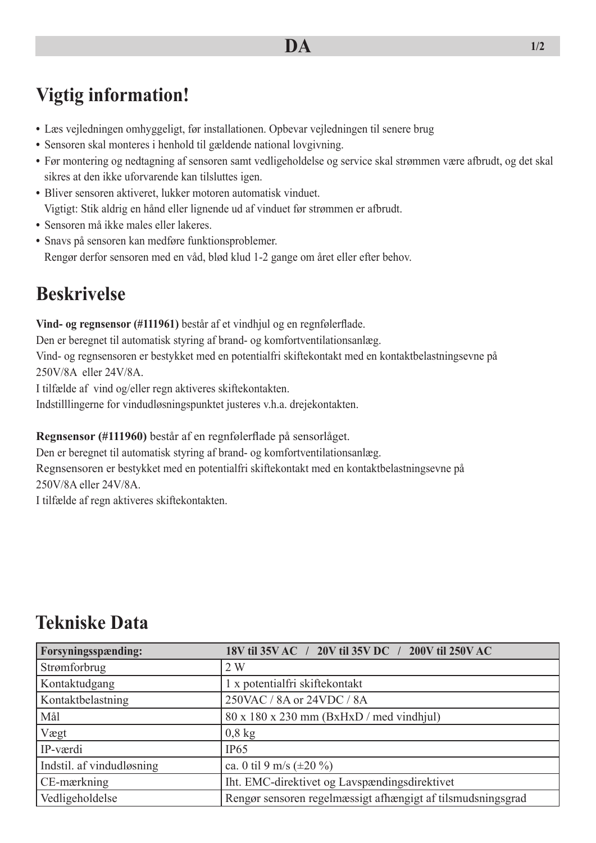# **Vigtig information!**

- **•** Læs vejledningen omhyggeligt, før installationen. Opbevar vejledningen til senere brug
- **•** Sensoren skal monteres i henhold til gældende national lovgivning.
- **•** Før montering og nedtagning af sensoren samt vedligeholdelse og service skal strømmen være afbrudt, og det skal sikres at den ikke uforvarende kan tilsluttes igen.
- **•** Bliver sensoren aktiveret, lukker motoren automatisk vinduet. Vigtigt: Stik aldrig en hånd eller lignende ud af vinduet før strømmen er afbrudt.
- **•** Sensoren må ikke males eller lakeres.
- **•** Snavs på sensoren kan medføre funktionsproblemer. Rengør derfor sensoren med en våd, blød klud 1-2 gange om året eller efter behov.

# **Beskrivelse**

**Vind- og regnsensor (#111961)** består af et vindhjul og en regnfølerflade.

Den er beregnet til automatisk styring af brand- og komfortventilationsanlæg.

Vind- og regnsensoren er bestykket med en potentialfri skiftekontakt med en kontaktbelastningsevne på 250V/8A eller 24V/8A.

I tilfælde af vind og/eller regn aktiveres skiftekontakten.

Indstilllingerne for vindudløsningspunktet justeres v.h.a. drejekontakten.

**Regnsensor (#111960)** består af en regnfølerflade på sensorlåget.

Den er beregnet til automatisk styring af brand- og komfortventilationsanlæg.

Regnsensoren er bestykket med en potentialfri skiftekontakt med en kontaktbelastningsevne på 250V/8A eller 24V/8A.

I tilfælde af regn aktiveres skiftekontakten.

| Forsyningsspænding:       | 18V til 35V AC / 20V til 35V DC / 200V til 250V AC          |
|---------------------------|-------------------------------------------------------------|
| Strømforbrug              | 2W                                                          |
| Kontaktudgang             | 1 x potentialfri skiftekontakt                              |
| Kontaktbelastning         | 250VAC / 8A or 24VDC / 8A                                   |
| Mål                       | $80 \times 180 \times 230$ mm (BxHxD / med vindhjul)        |
| Vægt                      | $0,8$ kg                                                    |
| IP-værdi                  | IP65                                                        |
| Indstil. af vindudløsning | ca. 0 til 9 m/s ( $\pm 20\%$ )                              |
| CE-mærkning               | Iht. EMC-direktivet og Lavspændingsdirektivet               |
| Vedligeholdelse           | Rengør sensoren regelmæssigt afhængigt af tilsmudsningsgrad |

### **Tekniske Data**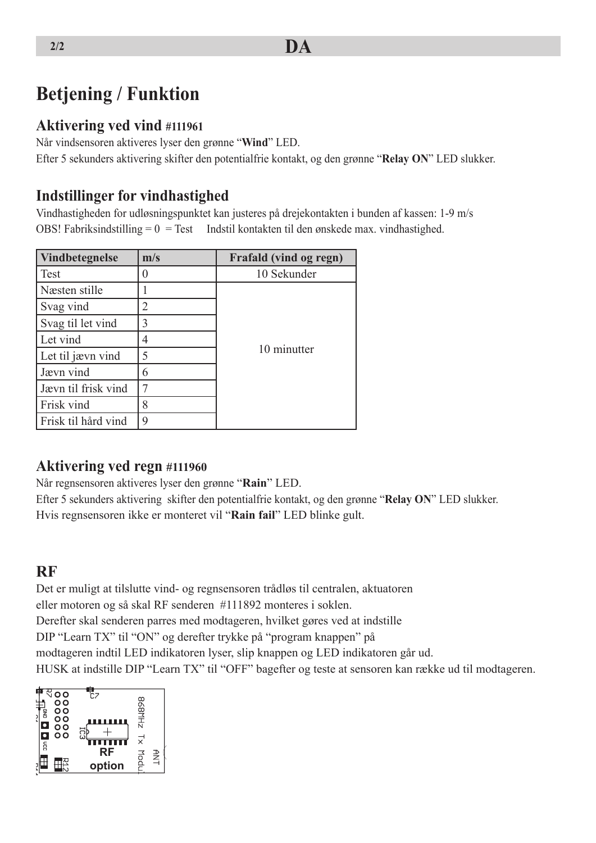# **Betjening / Funktion**

#### **Aktivering ved vind #111961**

Når vindsensoren aktiveres lyser den grønne "**Wind**" LED. Efter 5 sekunders aktivering skifter den potentialfrie kontakt, og den grønne "**Relay ON**" LED slukker.

#### **Indstillinger for vindhastighed**

Vindhastigheden for udløsningspunktet kan justeres på drejekontakten i bunden af kassen: 1-9 m/s OBS! Fabriksindstilling  $= 0 = Test$  Indstil kontakten til den ønskede max. vindhastighed.

| Vindbetegnelse      | m/s | Frafald (vind og regn) |
|---------------------|-----|------------------------|
| <b>Test</b>         |     | 10 Sekunder            |
| Næsten stille       |     |                        |
| Svag vind           | 2   |                        |
| Svag til let vind   | 3   |                        |
| Let vind            | 4   |                        |
| Let til jævn vind   | 5   | 10 minutter            |
| Jævn vind           | 6   |                        |
| Jævn til frisk vind | 7   |                        |
| Frisk vind          | 8   |                        |
| Frisk til hård vind | 9   |                        |

#### **Aktivering ved regn #111960**

Når regnsensoren aktiveres lyser den grønne "**Rain**" LED.

Efter 5 sekunders aktivering skifter den potentialfrie kontakt, og den grønne "**Relay ON**" LED slukker. Hvis regnsensoren ikke er monteret vil "**Rain fail**" LED blinke gult.

#### **RF**

Det er muligt at tilslutte vind- og regnsensoren trådløs til centralen, aktuatoren eller motoren og så skal RF senderen #111892 monteres i soklen. Derefter skal senderen parres med modtageren, hvilket gøres ved at indstille DIP "Learn TX" til "ON" og derefter trykke på "program knappen" på modtageren indtil LED indikatoren lyser, slip knappen og LED indikatoren går ud. HUSK at indstille DIP "Learn TX" til "OFF" bagefter og teste at sensoren kan række ud til modtageren.

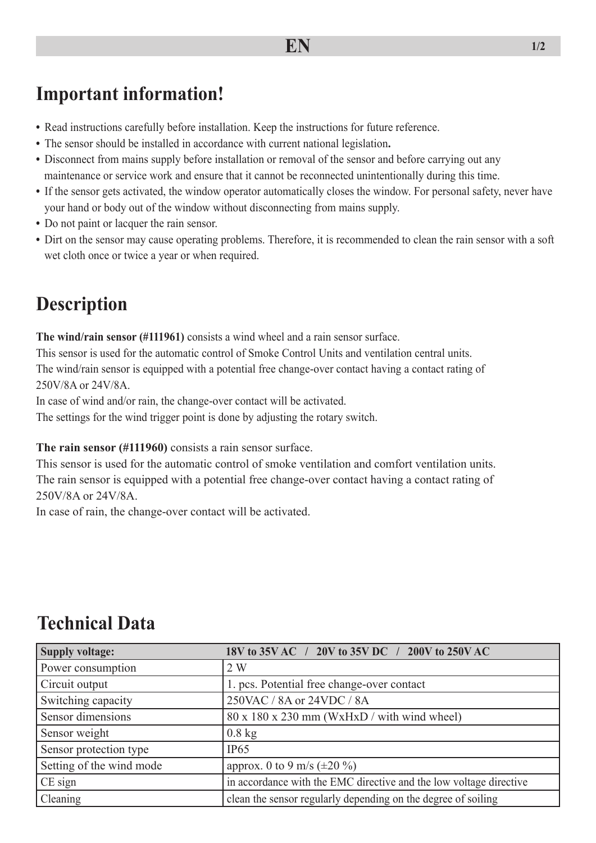### **Important information!**

- **•** Read instructions carefully before installation. Keep the instructions for future reference.
- **•** The sensor should be installed in accordance with current national legislation**.**
- Disconnect from mains supply before installation or removal of the sensor and before carrying out any maintenance or service work and ensure that it cannot be reconnected unintentionally during this time.
- If the sensor gets activated, the window operator automatically closes the window. For personal safety, never have your hand or body out of the window without disconnecting from mains supply.
- **•** Do not paint or lacquer the rain sensor.
- **•** Dirt on the sensor may cause operating problems. Therefore, it is recommended to clean the rain sensor with a soft wet cloth once or twice a year or when required.

### **Description**

**The wind/rain sensor (#111961)** consists a wind wheel and a rain sensor surface.

This sensor is used for the automatic control of Smoke Control Units and ventilation central units. The wind/rain sensor is equipped with a potential free change-over contact having a contact rating of 250V/8A or 24V/8A.

In case of wind and/or rain, the change-over contact will be activated.

The settings for the wind trigger point is done by adjusting the rotary switch.

**The rain sensor (#111960)** consists a rain sensor surface.

This sensor is used for the automatic control of smoke ventilation and comfort ventilation units. The rain sensor is equipped with a potential free change-over contact having a contact rating of 250V/8A or 24V/8A.

In case of rain, the change-over contact will be activated.

### **Technical Data**

| <b>Supply voltage:</b>   | 18V to 35V AC / 20V to 35V DC / 200V to 250V AC                    |
|--------------------------|--------------------------------------------------------------------|
| Power consumption        | 2W                                                                 |
| Circuit output           | 1. pcs. Potential free change-over contact                         |
| Switching capacity       | 250VAC / 8A or 24VDC / 8A                                          |
| Sensor dimensions        | $80 \times 180 \times 230$ mm (WxHxD / with wind wheel)            |
| Sensor weight            | $0.8$ kg                                                           |
| Sensor protection type   | IP65                                                               |
| Setting of the wind mode | approx. 0 to 9 m/s ( $\pm 20\%$ )                                  |
| $CE$ sign                | in accordance with the EMC directive and the low voltage directive |
| Cleaning                 | clean the sensor regularly depending on the degree of soiling      |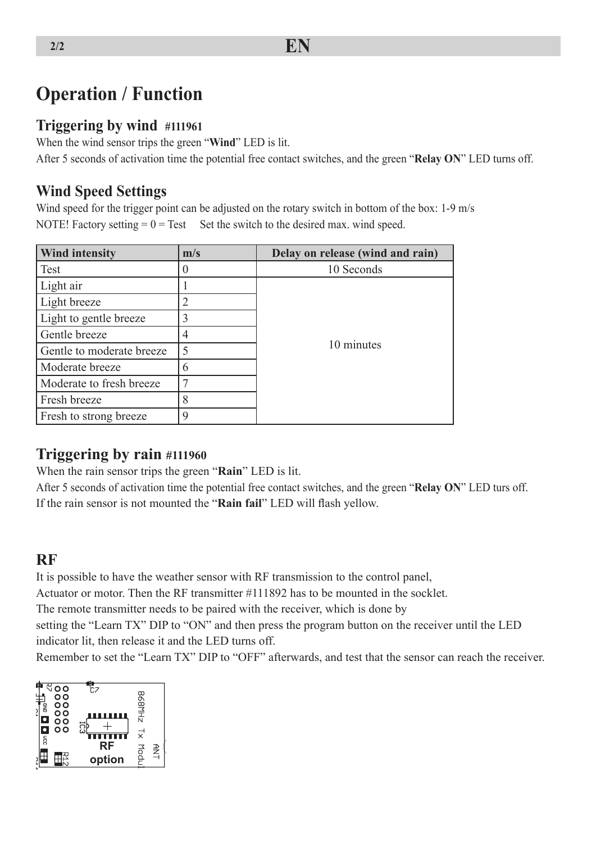# **Operation / Function**

#### **Triggering by wind #111961**

When the wind sensor trips the green "**Wind**" LED is lit.

After 5 seconds of activation time the potential free contact switches, and the green "**Relay ON**" LED turns off.

#### **Wind Speed Settings**

Wind speed for the trigger point can be adjusted on the rotary switch in bottom of the box: 1-9 m/s NOTE! Factory setting  $= 0 = Test$  Set the switch to the desired max. wind speed.

| <b>Wind intensity</b>     | m/s    | Delay on release (wind and rain) |
|---------------------------|--------|----------------------------------|
| Test                      |        | 10 Seconds                       |
| Light air                 |        |                                  |
| Light breeze              |        |                                  |
| Light to gentle breeze    | 3      |                                  |
| Gentle breeze             |        |                                  |
| Gentle to moderate breeze | 5      | 10 minutes                       |
| Moderate breeze           | 6      |                                  |
| Moderate to fresh breeze  |        |                                  |
| Fresh breeze              | O<br>⌒ |                                  |
| Fresh to strong breeze    | 9      |                                  |

#### **Triggering by rain #111960**

When the rain sensor trips the green "**Rain**" LED is lit.

After 5 seconds of activation time the potential free contact switches, and the green "**Relay ON**" LED turs off. If the rain sensor is not mounted the "**Rain fail**" LED will flash yellow.

#### **RF**

It is possible to have the weather sensor with RF transmission to the control panel,

Actuator or motor. Then the RF transmitter #111892 has to be mounted in the socklet.

The remote transmitter needs to be paired with the receiver, which is done by

setting the "Learn TX" DIP to "ON" and then press the program button on the receiver until the LED indicator lit, then release it and the LED turns off.

Remember to set the "Learn TX" DIP to "OFF" afterwards, and test that the sensor can reach the receiver.

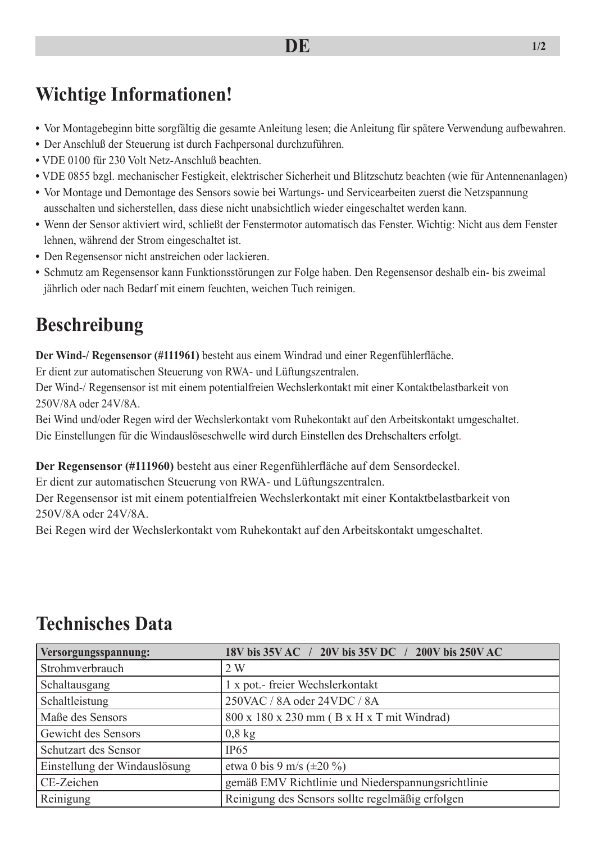# **Wichtige Informationen!**

- **•** Vor Montagebeginn bitte sorgfältig die gesamte Anleitung lesen; die Anleitung für spätere Verwendung aufbewahren.
- **•** Der Anschluß der Steuerung ist durch Fachpersonal durchzuführen.
- VDE 0100 für 230 Volt Netz-Anschluß beachten.
- VDE 0855 bzgl. mechanischer Festigkeit, elektrischer Sicherheit und Blitzschutz beachten (wie für Antennenanlagen)
- **•** Vor Montage und Demontage des Sensors sowie bei Wartungs- und Servicearbeiten zuerst die Netzspannung ausschalten und sicherstellen, dass diese nicht unabsichtlich wieder eingeschaltet werden kann.
- **•** Wenn der Sensor aktiviert wird, schließt der Fenstermotor automatisch das Fenster. Wichtig: Nicht aus dem Fenster lehnen, während der Strom eingeschaltet ist.
- **•** Den Regensensor nicht anstreichen oder lackieren.
- **•** Schmutz am Regensensor kann Funktionsstörungen zur Folge haben. Den Regensensor deshalb ein- bis zweimal jährlich oder nach Bedarf mit einem feuchten, weichen Tuch reinigen.

# **Beschreibung**

**Der Wind-/ Regensensor (#111961)** besteht aus einem Windrad und einer Regenfühlerfläche.

Er dient zur automatischen Steuerung von RWA- und Lüftungszentralen.

Der Wind-/ Regensensor ist mit einem potentialfreien Wechslerkontakt mit einer Kontaktbelastbarkeit von 250V/8A oder 24V/8A.

Bei Wind und/oder Regen wird der Wechslerkontakt vom Ruhekontakt auf den Arbeitskontakt umgeschaltet. Die Einstellungen für die Windauslöseschwelle wird durch Einstellen des Drehschalters erfolgt.

**Der Regensensor (#111960)** besteht aus einer Regenfühlerfläche auf dem Sensordeckel.

Er dient zur automatischen Steuerung von RWA- und Lüftungszentralen.

Der Regensensor ist mit einem potentialfreien Wechslerkontakt mit einer Kontaktbelastbarkeit von 250V/8A oder 24V/8A.

Bei Regen wird der Wechslerkontakt vom Ruhekontakt auf den Arbeitskontakt umgeschaltet.

| Versorgungsspannung:          | 18V bis 35V AC / 20V bis 35V DC / 200V bis 250V AC |
|-------------------------------|----------------------------------------------------|
| Strohmverbrauch               | 2W                                                 |
| Schaltausgang                 | 1 x pot.- freier Wechslerkontakt                   |
| Schaltleistung                | 250VAC / 8A oder 24VDC / 8A                        |
| Maße des Sensors              | 800 x 180 x 230 mm (B x H x T mit Windrad)         |
| Gewicht des Sensors           | $0,8$ kg                                           |
| Schutzart des Sensor          | IP65                                               |
| Einstellung der Windauslösung | etwa 0 bis 9 m/s $(\pm 20\% )$                     |
| CE-Zeichen                    | gemäß EMV Richtlinie und Niederspannungsrichtlinie |
| Reinigung                     | Reinigung des Sensors sollte regelmäßig erfolgen   |

### **Technisches Data**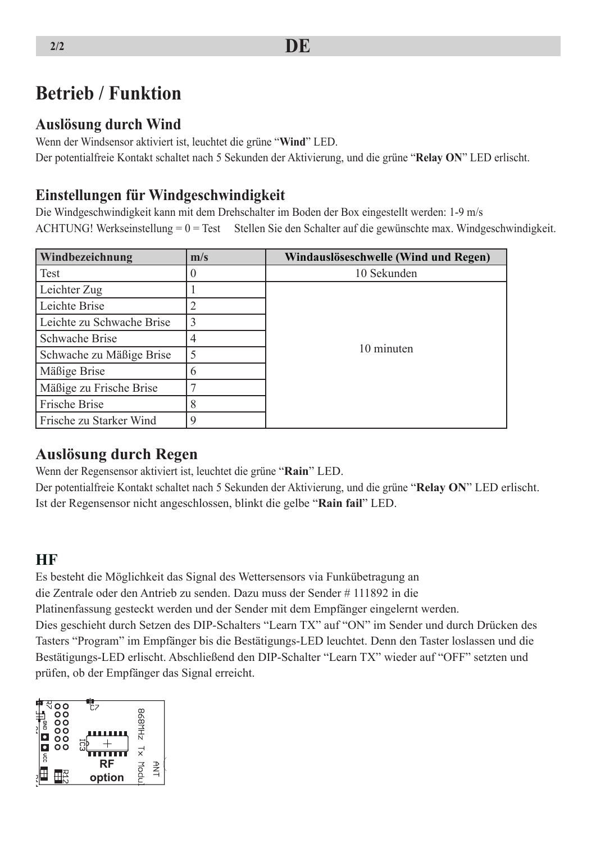### **Betrieb / Funktion**

#### **Auslösung durch Wind**

Wenn der Windsensor aktiviert ist, leuchtet die grüne "**Wind**" LED. Der potentialfreie Kontakt schaltet nach 5 Sekunden der Aktivierung, und die grüne "**Relay ON**" LED erlischt.

#### **Einstellungen für Windgeschwindigkeit**

Die Windgeschwindigkeit kann mit dem Drehschalter im Boden der Box eingestellt werden: 1-9 m/s ACHTUNG! Werkseinstellung = 0 = Test Stellen Sie den Schalter auf die gewünschte max. Windgeschwindigkeit.

| Windbezeichnung           | m/s         | Windauslöseschwelle (Wind und Regen) |
|---------------------------|-------------|--------------------------------------|
| Test                      | $\theta$    | 10 Sekunden                          |
| Leichter Zug              |             |                                      |
| Leichte Brise             | 2           |                                      |
| Leichte zu Schwache Brise | 3           |                                      |
| Schwache Brise            | 4           |                                      |
| Schwache zu Mäßige Brise  | 5           | 10 minuten                           |
| Mäßige Brise              | 6           |                                      |
| Mäßige zu Frische Brise   | ⇁           |                                      |
| Frische Brise             | 8           |                                      |
| Frische zu Starker Wind   | $\mathbf Q$ |                                      |

#### **Auslösung durch Regen**

Wenn der Regensensor aktiviert ist, leuchtet die grüne "**Rain**" LED.

Der potentialfreie Kontakt schaltet nach 5 Sekunden der Aktivierung, und die grüne "**Relay ON**" LED erlischt. Ist der Regensensor nicht angeschlossen, blinkt die gelbe "**Rain fail**" LED.

#### **HF**

Es besteht die Möglichkeit das Signal des Wettersensors via Funkübetragung an

die Zentrale oder den Antrieb zu senden. Dazu muss der Sender # 111892 in die

Platinenfassung gesteckt werden und der Sender mit dem Empfänger eingelernt werden.

Dies geschieht durch Setzen des DIP-Schalters "Learn TX" auf "ON" im Sender und durch Drücken des Tasters "Program" im Empfänger bis die Bestätigungs-LED leuchtet. Denn den Taster loslassen und die Bestätigungs-LED erlischt. Abschließend den DIP-Schalter "Learn TX" wieder auf "OFF" setzten und prüfen, ob der Empfänger das Signal erreicht.

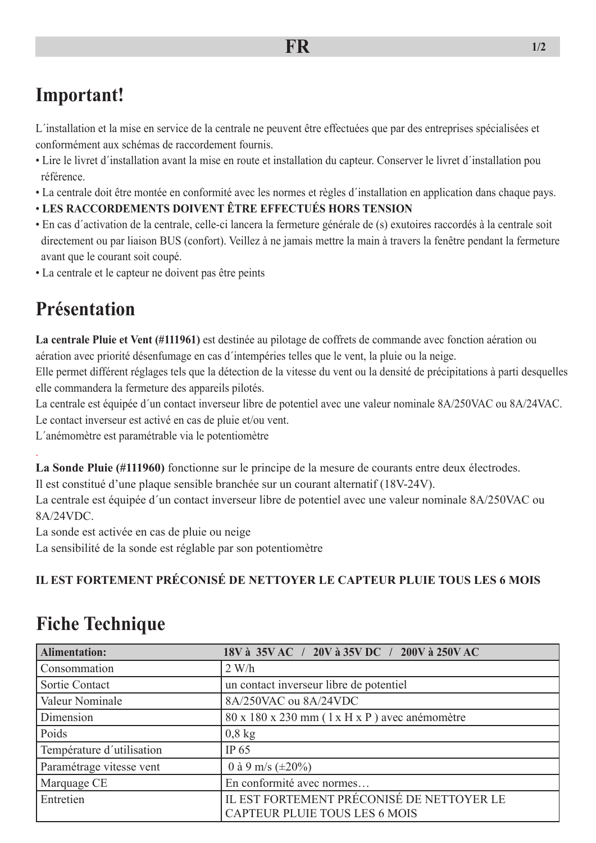# **Important!**

L´installation et la mise en service de la centrale ne peuvent être effectuées que par des entreprises spécialisées et conformément aux schémas de raccordement fournis.

- Lire le livret d´installation avant la mise en route et installation du capteur. Conserver le livret d´installation pou référence.
- La centrale doit être montée en conformité avec les normes et règles d´installation en application dans chaque pays.
- **LES RACCORDEMENTS DOIVENT ÊTRE EFFECTUÉS HORS TENSION**
- En cas d´activation de la centrale, celle-ci lancera la fermeture générale de (s) exutoires raccordés à la centrale soit directement ou par liaison BUS (confort). Veillez à ne jamais mettre la main à travers la fenêtre pendant la fermeture avant que le courant soit coupé.
- La centrale et le capteur ne doivent pas être peints

# **Présentation**

.

**La centrale Pluie et Vent (#111961)** est destinée au pilotage de coffrets de commande avec fonction aération ou aération avec priorité désenfumage en cas d´intempéries telles que le vent, la pluie ou la neige.

Elle permet différent réglages tels que la détection de la vitesse du vent ou la densité de précipitations à parti desquelles elle commandera la fermeture des appareils pilotés.

La centrale est équipée d´un contact inverseur libre de potentiel avec une valeur nominale 8A/250VAC ou 8A/24VAC.

Le contact inverseur est activé en cas de pluie et/ou vent.

L´anémomètre est paramétrable via le potentiomètre

**La Sonde Pluie (#111960)** fonctionne sur le principe de la mesure de courants entre deux électrodes.

Il est constitué d'une plaque sensible branchée sur un courant alternatif (18V-24V).

La centrale est équipée d´un contact inverseur libre de potentiel avec une valeur nominale 8A/250VAC ou 8A/24VDC.

La sonde est activée en cas de pluie ou neige

La sensibilité de la sonde est réglable par son potentiomètre

#### **IL EST FORTEMENT PRÉCONISÉ DE NETTOYER LE CAPTEUR PLUIE TOUS LES 6 MOIS**

# **Fiche Technique**

| <b>Alimentation:</b>      | 18V à 35V AC / 20V à 35V DC / 200V à 250V AC                                      |  |
|---------------------------|-----------------------------------------------------------------------------------|--|
| Consommation              | 2 W/h                                                                             |  |
| Sortie Contact            | un contact inverseur libre de potentiel                                           |  |
| Valeur Nominale           | 8A/250VAC ou 8A/24VDC                                                             |  |
| Dimension                 | $80 \times 180 \times 230$ mm ( $1 \times H \times P$ ) avec anémomètre           |  |
| Poids                     | $0,8$ kg                                                                          |  |
| Température d'utilisation | IP 65                                                                             |  |
| Paramétrage vitesse vent  | 0 à 9 m/s $(\pm 20\%)$                                                            |  |
| Marquage CE               | En conformité avec normes                                                         |  |
| Entretien                 | IL EST FORTEMENT PRÉCONISÉ DE NETTOYER LE<br><b>CAPTEUR PLUIE TOUS LES 6 MOIS</b> |  |